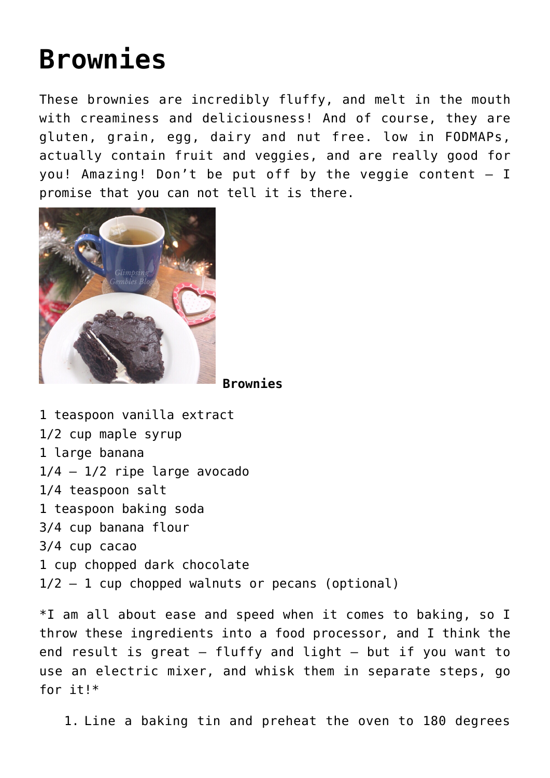## **[Brownies](https://www.glimpsinggembles.com/2015/12/20/brownies/)**

These brownies are incredibly fluffy, and melt in the mouth with creaminess and deliciousness! And of course, they are gluten, grain, egg, dairy and nut free. low in FODMAPs, actually contain fruit and veggies, and are really good for you! Amazing! Don't be put off by the veggie content – I promise that you can not tell it is there.



**Brownies**

1 teaspoon vanilla extract 1/2 cup maple syrup 1 large banana  $1/4 - 1/2$  ripe large avocado 1/4 teaspoon salt 1 teaspoon baking soda 3/4 cup banana flour 3/4 cup cacao 1 cup chopped dark chocolate  $1/2 - 1$  cup chopped walnuts or pecans (optional)

\*I am all about ease and speed when it comes to baking, so I throw these ingredients into a food processor, and I think the end result is great – fluffy and light – but if you want to use an electric mixer, and whisk them in separate steps, go for it!\*

1. Line a baking tin and preheat the oven to 180 degrees